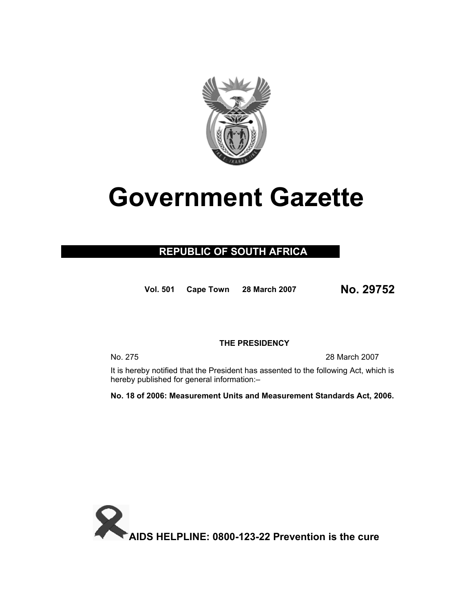

# **Government Gazette**

## **REPUBLIC OF SOUTH AFRICA**

**Vol. 50<sup>1</sup> Cape Town 28 March 2007 No. 29752**

#### **THE PRESIDENCY**

No. 275 28 March 2007

 It is hereby notified that the President has assented to the following Act, which is hereby published for general information:–

**No. 18 of 2006: Measurement Units and Measurement Standards Act, 2006.** 

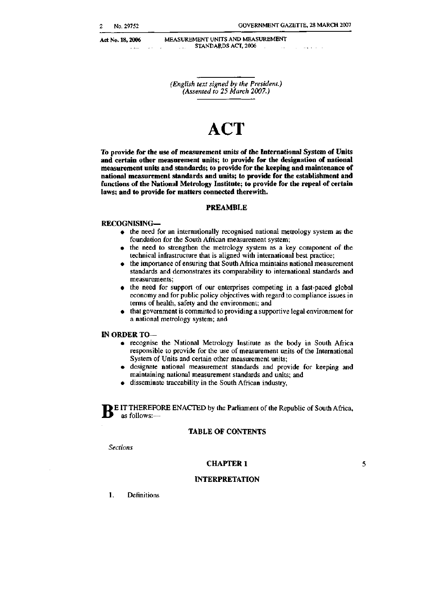Act No. 18, 2006

 $\sim 100$ 

MEASUREMENT UNITS AND MEASUREMENT STANDARDS ACT, 2006  $\sim 10^{-11}$  $\sim$ 

(English text signed by the President.) (Assented to 25 March 2007.)

# **ACT**

**To provide for the use of measurement units of the International System of Units and certain other measurement units; to provide for the designation of national measurement units and standards; to provide for the keeping and maintenance of national measurement standards and units; to provide for the establishment and functions of the National Metrology Institute; to provide for the repeal of certain laws; and to provide for matters connected therewith.** 

#### **PREAMBLE**

#### **RECOGNISING—**

- the need for an internationally recognised national metrology system as the foundation for the South African measurement system;
- the need to strengthen the metrology system as a key component of the technical infrastructure that is aligned with international best practice;
- the importance of ensuring that South Africa maintains national measurement standards and demonstrates its comparability to international standards and measurements;
- the need for support of our enterprises competing in a fast-paced global economy and for public policy objectives with regard to compliance issues in terms of health, safety and the environment; and
- that government is committed to providing a supportive legal environment for a national metrology system; and

#### **IN ORDER TO—**

- recognise the National Metrology Institute as the body in South Africa responsible to provide for the use of measurement units of the International System of Units and certain other measurement units;
- designate national measurement standards and provide for keeping and maintaining national measurement standards and units; and
- disseminate traceability in the South African industry,

**BE IT THEREFORE ENACTED by the Parliament of the Republic of South Africa,** as follows:as follows:—

#### TABLE OF **CONTENTS**

*Sections* 

#### **CHAPTER** 1

5

#### **INTERPRETATION**

1. Definitions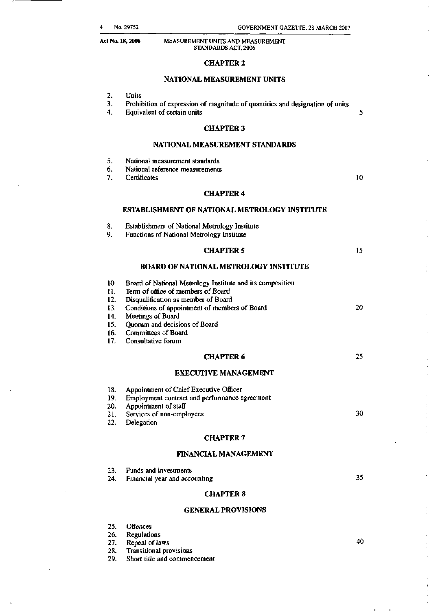### **CHAPTER 2**

#### **NATIONAL MEASUREMENT UNITS**

| 2.<br>3.<br>4.                                       | <b>Units</b><br>Prohibition of expression of magnitude of quantities and designation of units<br>Equivalent of certain units                                                                                                                                                                      | 5  |
|------------------------------------------------------|---------------------------------------------------------------------------------------------------------------------------------------------------------------------------------------------------------------------------------------------------------------------------------------------------|----|
|                                                      | <b>CHAPTER 3</b>                                                                                                                                                                                                                                                                                  |    |
|                                                      | NATIONAL MEASUREMENT STANDARDS                                                                                                                                                                                                                                                                    |    |
| 5.<br>6.<br>7.                                       | National measurement standards<br>National reference measurements<br>Certificates                                                                                                                                                                                                                 | 10 |
|                                                      | <b>CHAPTER 4</b>                                                                                                                                                                                                                                                                                  |    |
|                                                      | <b>ESTABLISHMENT OF NATIONAL METROLOGY INSTITUTE</b>                                                                                                                                                                                                                                              |    |
| 8.<br>9.                                             | <b>Establishment of National Metrology Institute</b><br>Functions of National Metrology Institute                                                                                                                                                                                                 |    |
|                                                      | <b>CHAPTER 5</b>                                                                                                                                                                                                                                                                                  | 15 |
|                                                      | <b>BOARD OF NATIONAL METROLOGY INSTITUTE</b>                                                                                                                                                                                                                                                      |    |
| 10.<br>11.<br>12.<br>13.<br>14.<br>15.<br>16.<br>17. | Board of National Metrology Institute and its composition<br>Term of office of members of Board<br>Disqualification as member of Board<br>Conditions of appointment of members of Board<br>Meetings of Board<br>Quorum and decisions of Board<br><b>Committees of Board</b><br>Consultative forum | 20 |
|                                                      | <b>CHAPTER 6</b>                                                                                                                                                                                                                                                                                  | 25 |
|                                                      | <b>EXECUTIVE MANAGEMENT</b>                                                                                                                                                                                                                                                                       |    |
| 18.<br>19.<br>20.<br>21.<br>22.                      | Appointment of Chief Executive Officer<br>Employment contract and performance agreement<br>Appointment of staff<br>Services of non-employees<br>Delegation                                                                                                                                        | 30 |
|                                                      | <b>CHAPTER 7</b>                                                                                                                                                                                                                                                                                  |    |
|                                                      | <b>FINANCIAL MANAGEMENT</b>                                                                                                                                                                                                                                                                       |    |
| 23.<br>24.                                           | <b>Funds and investments</b><br>Financial year and accounting<br><b>CHAPTER 8</b>                                                                                                                                                                                                                 | 35 |
|                                                      | <b>GENERAL PROVISIONS</b>                                                                                                                                                                                                                                                                         |    |
|                                                      |                                                                                                                                                                                                                                                                                                   |    |

- 25. Offences
- 26.
- Regulations<br>Repeal of laws  $27.$

28.

**GENERAL PROVISIONS**   $25.$  Offers and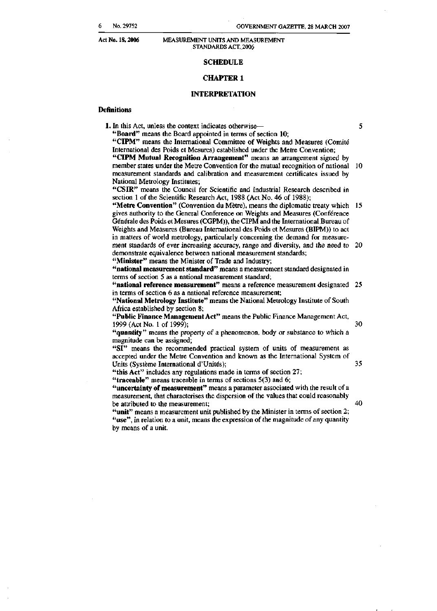#### **SCHEDULE**

#### **CHAPTER 1**

#### **INTERPRETATION**

#### **Definitions**

**1.** In this Act, unless the context indicates otherwise— **"Board"** means the Board appointed in terms of section 10; 5

**"CIPM"** means the International Committee of Weights and Measures (Comite International des Poids et Mesures) established under the Metre Convention; **"CIPM Mutual Recognition Arrangement"** means an arrangement signed by member states under the Metre Convention for the mutual recognition of national 10 measurement standards and calibration and measurement certificates issued by National Metrology Institutes;

**"CSIR"** means the Council for Scientific and Industrial Research described in section 1 of the Scientific Research Act, 1988 (Act No. 46 of 1988);

**"Metre Convention"** (Convention du Metre), means the diplomatic treaty which gives authority to the General Conference on Weights and Measures (Conference Générale des Poids et Mesures (CGPM)), the CIPM and the International Bureau of Weights and Measures (Bureau International des Poids et Mesures (BIPM)) to act in matters of world metrology, particularly concerning the demand for measurement standards of ever increasing accuracy, range and diversity, and the need to 20 demonstrate equivalence between national measurement standards; **"Minister"** means the Minister of Trade and Industry;

**"national measurement standard"** means a measurement standard designated in terms of section 5 as a national measurement standard;

**"national reference measurement"** means a reference measurement designated in terms of section 6 as a national reference measurement;

**"National Metrology Institute"** means the National Metrology Institute of South Africa established by section 8;

**"Public Finance Management Act"** means the Public Finance Management Act, 1999 (Act No. 1 of 1999);

30

**"quantity"** means the property of a phenomenon, body or substance to which a magnitude can be assigned; "SI" means the recommended practical system of units of measurement as

accepted under the Metre Convention and known as the International System of Units (Système International d'Unités);

35

40

"this **Act"** includes any regulations made in terms of section 27; **"traceable"** means traceable in terms of sections 5(3) and 6;

**"uncertainty of measurement"** means a parameter associated with the result of a measurement, that characterises the dispersion of the values that could reasonably be attributed to the measurement;

**"unit"** means a measurement unit published by the Minister in terms of section 2; "use", in relation to a unit, means the expression of the magnitude of any quantity by means of a unit.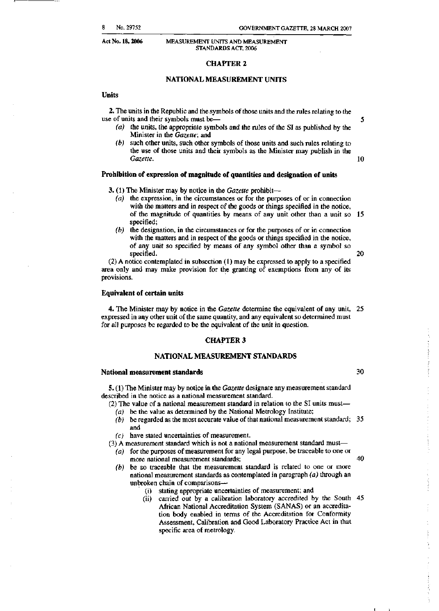5

10

20

30

40

# **Act No. 18, 2006** MEASUREMENT UNITS AND MEASUREMENT

#### **CHAPTER 2**

#### NATIONAL MEASUREMENT UNITS

#### **Units**

**2.** The units in the Republic and the symbols of those units and the rules relating to the use of units and their symbols must be—

- *(a)* the units, the appropriate symbols and the rules of the SI as published by the Minister in the *Gazette;* and
- *(b)* such other units, such other symbols of those units and such rules relating to the use of those units and their symbols as the Minister may publish in the *Gazette.*

#### **Prohibition of expression of magnitude of quantities and designation of units**

- **3.** (1) The Minister may by notice in the *Gazette* prohibit—
	- *(a)* the expression, in the circumstances or for the purposes of or in connection with the matters and in respect of the goods or things specified in the notice, of the magnitude of quantities by means of any unit other than a unit so 15 specified;
	- *(b)* the designation, in the circumstances or for the purposes of or in connection with the matters and in respect of the goods or things specified in the notice, of any unit so specified by means of any symbol other than a symbol so specified.

(2) A notice contemplated in subsection (1) may be expressed to apply to a specified area only and may make provision for the granting of exemptions from any of its provisions.

#### **Equivalent of certain units**

**4.** The Minister may by notice in the *Gazette* determine the equivalent of any unit, expressed in any other unit of the same quantity, and any equivalent so determined must for all purposes be regarded to be the equivalent of the unit in question.

#### **CHAPTER 3**

#### **NATIONAL MEASUREMENT STANDARDS**

#### **National measurement standards**

**5.** (1) The Minister may by notice in the *Gazette* designate any measurement standard described in the notice as a national measurement standard.

- (2) The value of a national measurement standard in relation to the SI units must— *(a)* be the value as determined by the National Metrology Institute;
	- *(b)* be regarded as the most accurate value of that national measurement standard; and
- *(c)* have stated uncertainties of measurement.
- (3) A measurement standard which is not a national measurement standard must—
- *(a)* for the purposes of measurement for any legal purpose, be traceable to one or more national measurement standards;
- *(b)* be so traceable that the measurement standard is related to one or more national measurement standards as contemplated in paragraph *(a)* through an unbroken chain of comparisons—
	- (i) stating appropriate uncertainties of measurement; and
	- (ii) carried out by a calibration laboratory accredited by the South 45 African National Accreditation System (SANAS) or an accreditation body enabled in terms of the Accreditation for Conformity Assessment, Calibration and Good Laboratory Practice Act in that specific area of metrology.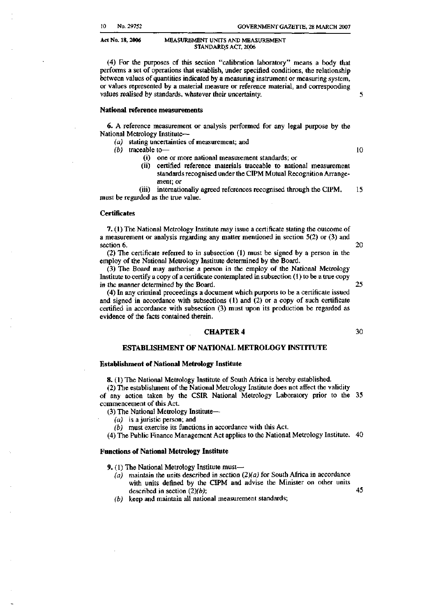(4) For the purposes of this section "calibration laboratory" means a body that performs a set of operations that establish, under specified conditions, the relationship between values of quantities indicated by a measuring instrument or measuring system. or values represented by a material measure or reference material, and corresponding values realised by standards, whatever their uncertainty.

**National reference measurements** 

**6.** A reference measurement or analysis performed for any legal purpose by the National Metrology Institute—

- *(a)* stating uncertainties of measurement; and
- *(b)* traceable to—
	- (i) one or more national measurement standards; or
	- (ii) certified reference materials traceable to national measurement standards recognised under the CIPM Mutual Recognition Arrangement; or

(iii) internationally agreed references recognised through the CIPM, 15 must be regarded as the true value.

#### **Certificates**

**7.** (1) The National Metrology Institute may issue a certificate stating the outcome of a measurement or analysis regarding any matter mentioned in section 5(2) or (3) and section 6.

(2) The certificate referred to in subsection (1) must be signed by a person in the employ of the National Metrology Institute determined by the Board.

(3) The Board may authorise a person in the employ of the National Metrology Institute to certify a copy of a certificate contemplated in subsection (1) to be a true copy in the manner determined by the Board.

(4) In any criminal proceedings a document which purports to be a certificate issued and signed in accordance with subsections (1) and (2) or a copy of such certificate certified in accordance with subsection (3) must upon its production be regarded as evidence of the facts contained therein.

#### **CHAPTER 4**

### **ESTABLISHMENT OF NATIONAL METROLOGY INSTITUTE**

#### **Establishment of National Metrology Institute**

**8.** (1) The National Metrology Institute of South Africa is hereby established.

(2) The establishment of the National Metrology Institute does not affect the validity of any action taken by the CSIR National Metrology Laboratory prior to the commencement of this Act.

(3) The National Metrology Institute—

- *(a)* is a juristic person; and
- *(b)* must exercise its functions in accordance with this Act.

(4) The Public Finance Management Act applies to the National Metrology Institute.

#### **Functions of National Metrology Institute**

**9.** (1) The National Metrology Institute must—

- *(a)* maintain the units described in section *(2)(a)* for South Africa in accordance with units defined by the CIPM and advise the Minister on other units described in section *(2)(b);*
- *(b)* keep and maintain all national measurement standards;

10

5

45

25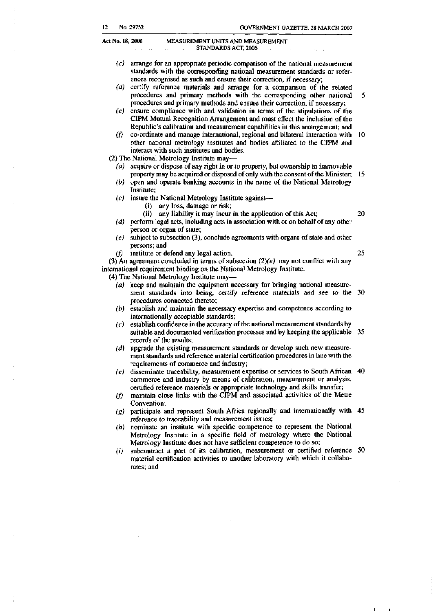- *(c)* arrange for an appropriate periodic comparison of the national measurement standards with the corresponding national measurement standards or references recognised as such and ensure their correction, if necessary;
- *(d)* certify reference materials and arrange for a comparison of the related procedures and primary methods with the corresponding other national 5 procedures and primary methods and ensure their correction, if necessary;
- *(e)* ensure compliance with and validation in terms of the stipulations of the CIPM Mutual Recognition Arrangement and must effect the inclusion of the Republic's calibration and measurement capabilities in this arrangement; and
- *(f)* co-ordinate and manage international, regional and bilateral interaction with other national metrology institutes and bodies affiliated to the CIPM and interact with such institutes and bodies.

(2) The National Metrology Institute may—

- *(a)* acquire or dispose of any right in or to property, but ownership in immovable property may be acquired or disposed of only with the consent of the Minister; 15
- *(b)* open and operate banking accounts in the name of the National Metrology Institute;
- *(c)* insure the National Metrology Institute against—
	- (i) any loss, damage or risk;

20

25

*(d)* perform legal acts, including acts in association with or on behalf of any other person or organ of state;

(ii) any liability it may incur in the application of this Act;

- *(e)* subject to subsection (3), conclude agreements with organs of state and other persons; and
- *(f)* institute or defend any legal action.

(3) An agreement concluded in terms of subsection *(2)(e)* may not conflict with any international requirement binding on the National Metrology Institute.

(4) The National Metrology Institute may—

- *(a)* keep and maintain the equipment necessary for bringing national measurement standards into being, certify reference materials and see to the 30 procedures connected thereto;
- *(b)* establish and maintain the necessary expertise and competence according to internationally acceptable standards;
- *(c)* establish confidence in the accuracy of the national measurement standards by suitable and documented verification processes and by keeping the applicable 35 records of the results;
- *(d)* upgrade the existing measurement standards or develop such new measurement standards and reference material certification procedures in line with the requirements of commerce and industry;
- *(e)* disseminate traceability, measurement expertise or services to South African commerce and industry by means of calibration, measurement or analysis, certified reference materials or appropriate technology and skills transfer;
- *(f)* maintain close links with the CIPM and associated activities of the Metre Convention;
- *(g)* participate and represent South Africa regionally and internationally with reference to traceability and measurement issues;
- *(h)* nominate an institute with specific competence to represent the National Metrology Institute in a specific field of metrology where the National Metrology Institute does not have sufficient competence to do so;
- *(i)* subcontract a part of its calibration, measurement or certified reference material certification activities to another laboratory with which it collaborates; and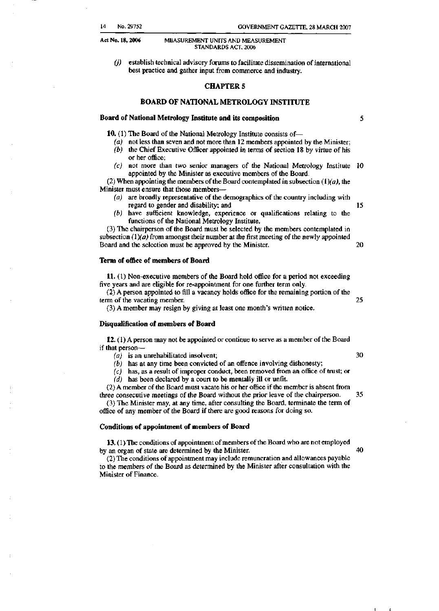*(j)* establish technical advisory forums to facilitate dissemination of international best practice and gather input from commerce and industry.

#### **CHAPTER 5**

#### **BOARD OF NATIONAL METROLOGY INSTITUTE**

#### **Board of National Metrology Institute and its composition**

**10.** (1) The Board of the National Metrology Institute consists of—

- *(a)* not less than seven and not more than 12 members appointed by the Minister;
- *(b)* the Chief Executive Officer appointed in terms of section 18 by virtue of his or her office;
- *(c)* not more than two senior managers of the National Metrology Institute 10 appointed by the Minister as executive members of the Board.

(2) When appointing the members of the Board contemplated in subsection  $(1)(a)$ , the Minister must ensure that those members—

- *(a)* are broadly representative of the demographics of the country including with regard to gender and disability; and 15
- *(b)* have sufficient knowledge, experience or qualifications relating to the functions of the National Metrology Institute.

(3) The chairperson of the Board must be selected by the members contemplated in subsection  $(1)(a)$  from amongst their number at the first meeting of the newly appointed Board and the selection must be approved by the Minister. 20 20

#### **Term of office of members of Board**

**11.** (1) Non-executive members of the Board hold office for a period not exceeding five years and are eligible for re-appointment for one further term only.

(2) A person appointed to fill a vacancy holds office for the remaining portion of the term of the vacating member.  $25$ 

(3) A member may resign by giving at least one month's written notice.

#### **Disqualification of members of Board**

**12.** (1) A person may not be appointed or continue to serve as a member of the Board if that person—

 $(a)$  is an unrehabilitated insolvent;  $30$ 

*(b)* has at any time been convicted of an offence involving dishonesty;

*(c)* has, as a result of improper conduct, been removed from an office of trust; or

*(d)* has been declared by a court to be mentally ill or unfit.

(2) A member of the Board must vacate his or her office if the member is absent from three consecutive meetings of the Board without the prior leave of the chairperson. 35

(3) The Minister may, at any time, after consulting the Board, terminate the term of office of any member of the Board if there are good reasons for doing so.

#### **Conditions of appointment of members of Board**

**13.** (1) The conditions of appointment of members of the Board who are not employed by an organ of state are determined by the Minister. 40

(2) The conditions of appointment may include remuneration and allowances payable to the members of the Board as determined by the Minister after consultation with the Minister of Finance.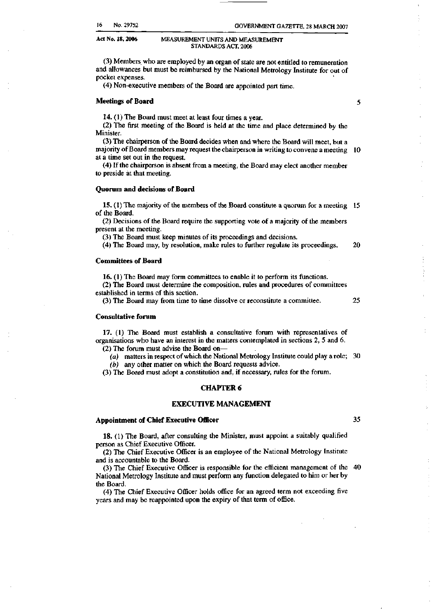(3) Members who are employed by an organ of state are not entitled to remuneration and allowances but must be reimbursed by the National Metrology Institute for out of pocket expenses.

**GOVERNMENT GAZETTE, 28 MARCH 2007** 

(4) Non-executive members of the Board are appointed part time.

#### **Meetings of Board**

**14.** (1) The Board must meet at least four times a year.

(2) The first meeting of the Board is held at the time and place determined by the Minister.

(3) The chairperson of the Board decides when and where the Board will meet, but a majority of Board members may request the chairperson in writing to convene a meeting at a time set out in the request.

(4) If the chairperson is absent from a meeting, the Board may elect another member to preside at that meeting.

#### **Quorum and decisions of Board**

**15.** (1) The majority of the members of the Board constitute a quorum for a meeting of the Board.

(2) Decisions of the Board require the supporting vote of a majority of the members present at the meeting.

(3) The Board must keep minutes of its proceedings and decisions.

(4) The Board may, by resolution, make rules to further regulate its proceedings. 20

#### **Committees of Board**

**16.** (1) The Board may form committees to enable it to perform its functions.

(2) The Board must determine the composition, rules and procedures of committees established in terms of this section.

(3) The Board may from time to time dissolve or reconstitute a committee.

#### **Consultative forum**

**17.** (1) The Board must establish a consultative forum with representatives of organisations who have an interest in the matters contemplated in sections 2, 5 and 6. (2) The forum must advise the Board on—

*(a)* matters in respect of which the National Metrology Institute could play a role; *(b)* any other matter on which the Board requests advice.

(3) The Board must adopt a constitution and, if necessary, rules for the forum.

#### **CHAPTER 6**

#### **EXECUTIVE MANAGEMENT**

# **Appointment of Chief Executive Officer**

**18.** (1) The Board, after consulting the Minister, must appoint a suitably qualified person as Chief Executive Officer.

(2) The Chief Executive Officer is an employee of the National Metrology Institute and is accountable to the Board.

(3) The Chief Executive Officer is responsible for the efficient management of the National Metrology Institute and must perform any function delegated to him or her by the Board.

(4) The Chief Executive Officer holds office for an agreed term not exceeding five years and may be reappointed upon the expiry of that term of office.

35

25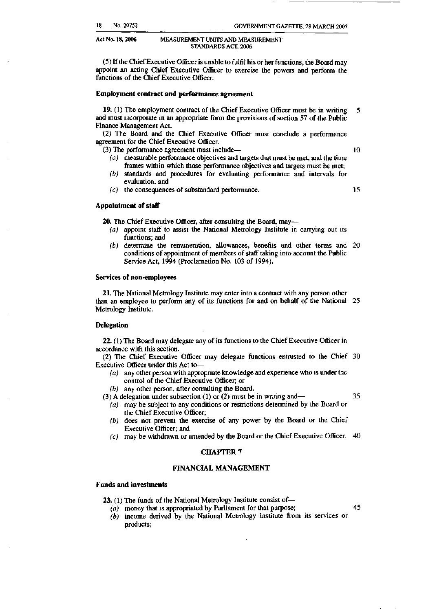(5) If the Chief Executive Officer is unable to fulfil his or her functions, the Board may appoint an acting Chief Executive Officer to exercise the powers and perform the functions of the Chief Executive Officer.

#### **Employment contract and performance agreement**

**19.** (1) The employment contract of the Chief Executive Officer must be in writing 5 and must incorporate in an appropriate form the provisions of section 57 of the Public Finance Management Act.

(2) The Board and the Chief Executive Officer must conclude a performance agreement for the Chief Executive Officer.

(3) The performance agreement must include—

 $10<sup>10</sup>$ 

- *(a)* measurable performance objectives and targets that must be met, and the time frames within which those performance objectives and targets must be met;
- *(b)* standards and procedures for evaluating performance and intervals for evaluation; and
- *(c)* the consequences of substandard performance.

15

35

45

#### **Appointment of staff**

**20.** The Chief Executive Officer, after consulting the Board, may—

- *(a)* appoint staff to assist the National Metrology Institute in carrying out its functions; and
- *(b)* determine the remuneration, allowances, benefits and other terms and conditions of appointment of members of staff taking into account the Public Service Act, 1994 (Proclamation No. 103 of 1994).

#### **Services of non-employees**

**21.** The National Metrology Institute may enter into a contract with any person other than an employee to perform any of its functions for and on behalf of the National 25 Metrology Institute.

#### **Delegation**

**22.** (1) The Board may delegate any of its functions to the Chief Executive Officer in accordance with this section.

(2) The Chief Executive Officer may delegate functions entrusted to the Chief Executive Officer under this Act to—

- *(a)* any other person with appropriate knowledge and experience who is under the control of the Chief Executive Officer; or
- *(b)* any other person, after consulting the Board.

(3) A delegation under subsection (1) or (2) must be in writing and—

- *(a)* may be subject to any conditions or restrictions determined by the Board or the Chief Executive Officer;
- *(b)* does not prevent the exercise of any power by the Board or the Chief Executive Officer; and<br>
(c) may be withdrawn or amended by the Board or the Chief Executive Officer.  $40$
- *(c)* may be withdrawn or amended by the Board or the Chief Executive Officer.

#### **CHAPTER 7**

#### **FINANCIAL MANAGEMENT**

**23.** (1) The funds of the National Metrology Institute consist of—<br>(a) money that is appropriated by Parliament for that purpose;

 $(b)$  income derived by the National Metrology Institute from its services or products;  $\mathbf{p}$  income derived by the National Metropology Institute from its service from its service services or  $\mathbf{p}$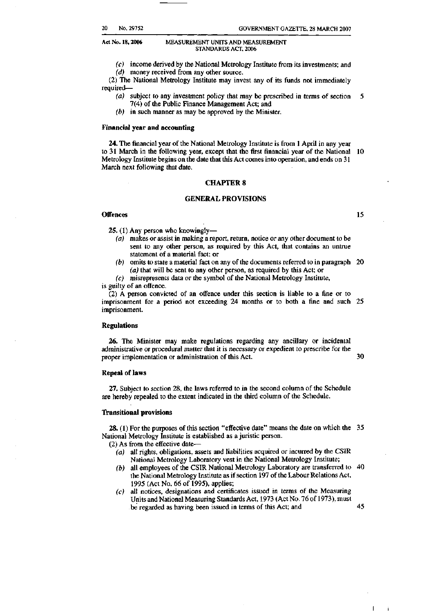- *(c)* income derived by the National Metrology Institute from its investments; and
- *(d)* money received from any other source.

(2) The National Metrology Institute may invest any of its funds not immediately required—

- *(a)* subject to any investment policy that may be prescribed in terms of section 5 7(4) of the Public Finance Management Act; and
- *(b)* in such manner as may be approved by the Minister.

#### **Financial year and accounting**

**24.** The financial year of the National Metrology Institute is from 1 April in any year to 31 March in the following year, except that the first financial year of the National 10 Metrology Institute begins on the date that this Act comes into operation, and ends on 31 March next following that date.

#### **CHAPTER 8**

#### **GENERAL PROVISIONS**

#### **Offences**

**25.** (1) Any person who knowingly—

- *(a)* makes or assist in making a report, return, notice or any other document to be sent to any other person, as required by this Act, that contains an untrue statement of a material fact; or
- *(b)* omits to state a material fact on any of the documents referred to in paragraph *(a)* that will be sent to any other person, as required by this Act; or

*(c)* misrepresents data or the symbol of the National Metrology Institute, is guilty of an offence.

(2) A person convicted of an offence under this section is liable to a fine or to imprisonment for a period not exceeding 24 months or to both a fine and such 25 imprisonment.

#### **Regulations**

**26.** The Minister may make regulations regarding any ancillary or incidental administrative or procedural matter that it is necessary or expedient to prescribe for the 30 proper implementation or administration of this Act.

#### **Repeal of laws**

**27.** Subject to section 28, the laws referred to in the second column of the Schedule are hereby repealed to the extent indicated in the third column of the Schedule.

#### **Transitional provisions**

**28.** (1) For the purposes of this section "effective date" means the date on which the National Metrology Institute is established as a juristic person.

(2) As from the effective date—

- *(a)* all rights, obligations, assets and liabilities acquired or incurred by the CSIR National Metrology Laboratory vest in the National Metrology Institute;
- *(b)* all employees of the CSIR National Metrology Laboratory are transferred to the National Metrology Institute as if section 197 of the Labour Relations Act, 1995 (Act No. 66 of 1995), applies;
- *(c)* all notices, designations and certificates issued in terms of the Measuring Units and National Measuring Standards Act, 1973 (Act No. 76 of 1973), must be regarded as having been issued in terms of this Act; and

45

 $\mathbf{L}$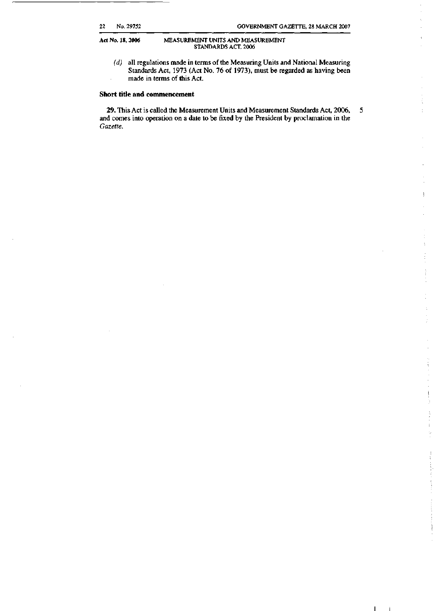*(d)* all regulations made in terms of the Measuring Units and National Measuring Standards Act, 1973 (Act No. 76 of 1973), must be regarded as having been made in terms of this Act.

#### **Short title and commencement**

**29.** This Act is called the Measurement Units and Measurement Standards Act, 2006, 5 and comes into operation on a date to be fixed by the President by proclamation in the *Gazette.* 

 $\mathbf{I} = \mathbf{I}$